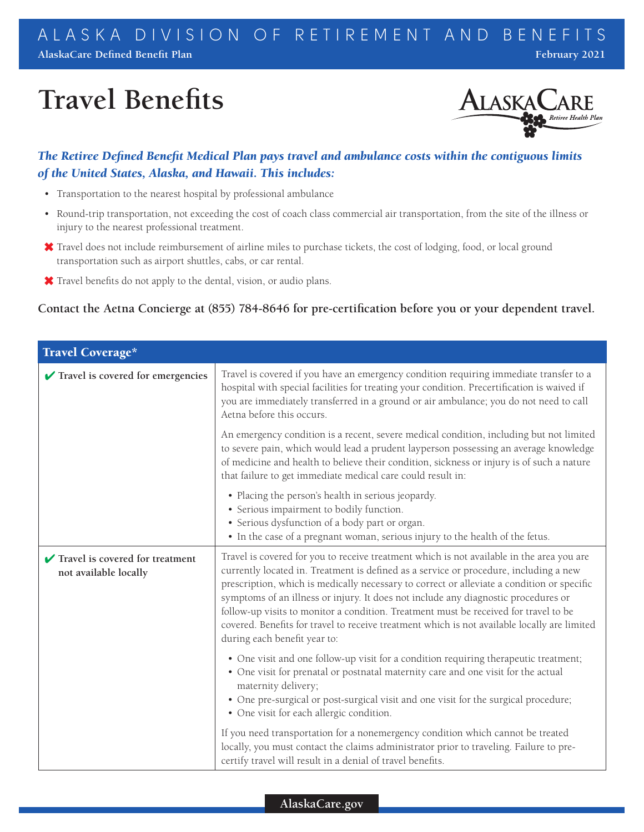# **Travel Benefits**



# *The Retiree Defined Benefit Medical Plan pays travel and ambulance costs within the contiguous limits of the United States, Alaska, and Hawaii. This includes:*

- Transportation to the nearest hospital by professional ambulance
- Round-trip transportation, not exceeding the cost of coach class commercial air transportation, from the site of the illness or injury to the nearest professional treatment.
- Travel does not include reimbursement of airline miles to purchase tickets, the cost of lodging, food, or local ground transportation such as airport shuttles, cabs, or car rental.
- Travel benefits do not apply to the dental, vision, or audio plans.

## **Contact the Aetna Concierge at (855) 784-8646 for pre-certification before you or your dependent travel.**

| Travel Coverage*                                         |                                                                                                                                                                                                                                                                                                                                                                                                                                                                                                                                                                                                |  |
|----------------------------------------------------------|------------------------------------------------------------------------------------------------------------------------------------------------------------------------------------------------------------------------------------------------------------------------------------------------------------------------------------------------------------------------------------------------------------------------------------------------------------------------------------------------------------------------------------------------------------------------------------------------|--|
| $\blacktriangleright$ Travel is covered for emergencies  | Travel is covered if you have an emergency condition requiring immediate transfer to a<br>hospital with special facilities for treating your condition. Precertification is waived if<br>you are immediately transferred in a ground or air ambulance; you do not need to call<br>Aetna before this occurs.                                                                                                                                                                                                                                                                                    |  |
|                                                          | An emergency condition is a recent, severe medical condition, including but not limited<br>to severe pain, which would lead a prudent layperson possessing an average knowledge<br>of medicine and health to believe their condition, sickness or injury is of such a nature<br>that failure to get immediate medical care could result in:                                                                                                                                                                                                                                                    |  |
|                                                          | • Placing the person's health in serious jeopardy.<br>• Serious impairment to bodily function.<br>• Serious dysfunction of a body part or organ.<br>• In the case of a pregnant woman, serious injury to the health of the fetus.                                                                                                                                                                                                                                                                                                                                                              |  |
| Travel is covered for treatment<br>not available locally | Travel is covered for you to receive treatment which is not available in the area you are<br>currently located in. Treatment is defined as a service or procedure, including a new<br>prescription, which is medically necessary to correct or alleviate a condition or specific<br>symptoms of an illness or injury. It does not include any diagnostic procedures or<br>follow-up visits to monitor a condition. Treatment must be received for travel to be<br>covered. Benefits for travel to receive treatment which is not available locally are limited<br>during each benefit year to: |  |
|                                                          | • One visit and one follow-up visit for a condition requiring therapeutic treatment;<br>• One visit for prenatal or postnatal maternity care and one visit for the actual<br>maternity delivery;<br>• One pre-surgical or post-surgical visit and one visit for the surgical procedure;<br>• One visit for each allergic condition.                                                                                                                                                                                                                                                            |  |
|                                                          | If you need transportation for a nonemergency condition which cannot be treated<br>locally, you must contact the claims administrator prior to traveling. Failure to pre-<br>certify travel will result in a denial of travel benefits.                                                                                                                                                                                                                                                                                                                                                        |  |